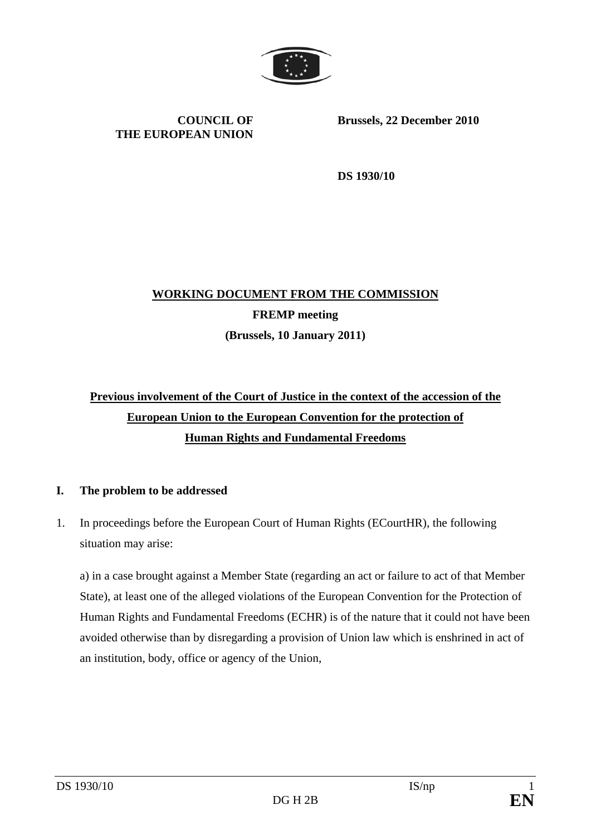

**COUNCIL OF THE EUROPEAN UNION** **Brussels, 22 December 2010** 

**DS 1930/10** 

# **WORKING DOCUMENT FROM THE COMMISSION FREMP meeting (Brussels, 10 January 2011)**

# **Previous involvement of the Court of Justice in the context of the accession of the European Union to the European Convention for the protection of Human Rights and Fundamental Freedoms**

### **I. The problem to be addressed**

1. In proceedings before the European Court of Human Rights (ECourtHR), the following situation may arise:

 a) in a case brought against a Member State (regarding an act or failure to act of that Member State), at least one of the alleged violations of the European Convention for the Protection of Human Rights and Fundamental Freedoms (ECHR) is of the nature that it could not have been avoided otherwise than by disregarding a provision of Union law which is enshrined in act of an institution, body, office or agency of the Union,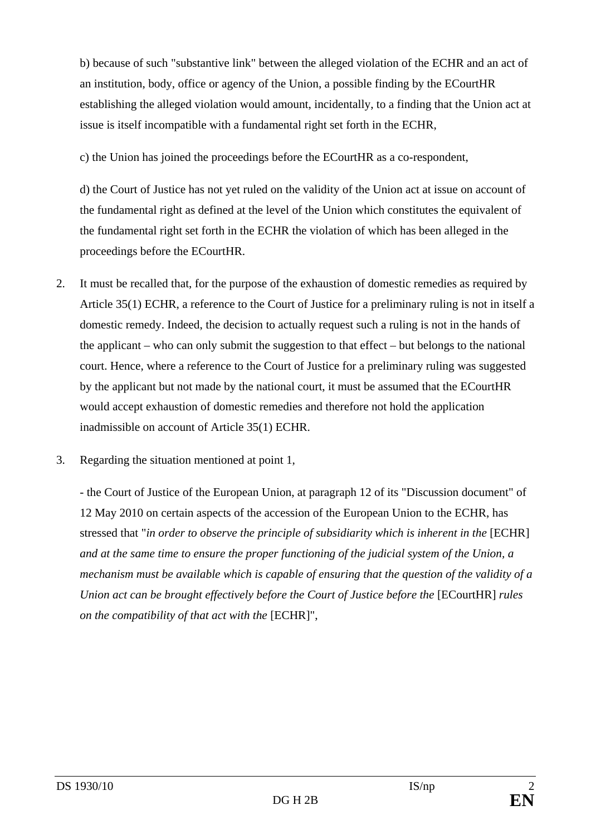b) because of such "substantive link" between the alleged violation of the ECHR and an act of an institution, body, office or agency of the Union, a possible finding by the ECourtHR establishing the alleged violation would amount, incidentally, to a finding that the Union act at issue is itself incompatible with a fundamental right set forth in the ECHR,

c) the Union has joined the proceedings before the ECourtHR as a co-respondent,

 d) the Court of Justice has not yet ruled on the validity of the Union act at issue on account of the fundamental right as defined at the level of the Union which constitutes the equivalent of the fundamental right set forth in the ECHR the violation of which has been alleged in the proceedings before the ECourtHR.

- 2. It must be recalled that, for the purpose of the exhaustion of domestic remedies as required by Article 35(1) ECHR, a reference to the Court of Justice for a preliminary ruling is not in itself a domestic remedy. Indeed, the decision to actually request such a ruling is not in the hands of the applicant – who can only submit the suggestion to that effect – but belongs to the national court. Hence, where a reference to the Court of Justice for a preliminary ruling was suggested by the applicant but not made by the national court, it must be assumed that the ECourtHR would accept exhaustion of domestic remedies and therefore not hold the application inadmissible on account of Article 35(1) ECHR.
- 3. Regarding the situation mentioned at point 1,

 - the Court of Justice of the European Union, at paragraph 12 of its "Discussion document" of 12 May 2010 on certain aspects of the accession of the European Union to the ECHR, has stressed that "*in order to observe the principle of subsidiarity which is inherent in the* [ECHR] *and at the same time to ensure the proper functioning of the judicial system of the Union, a mechanism must be available which is capable of ensuring that the question of the validity of a Union act can be brought effectively before the Court of Justice before the* [ECourtHR] *rules on the compatibility of that act with the* [ECHR]",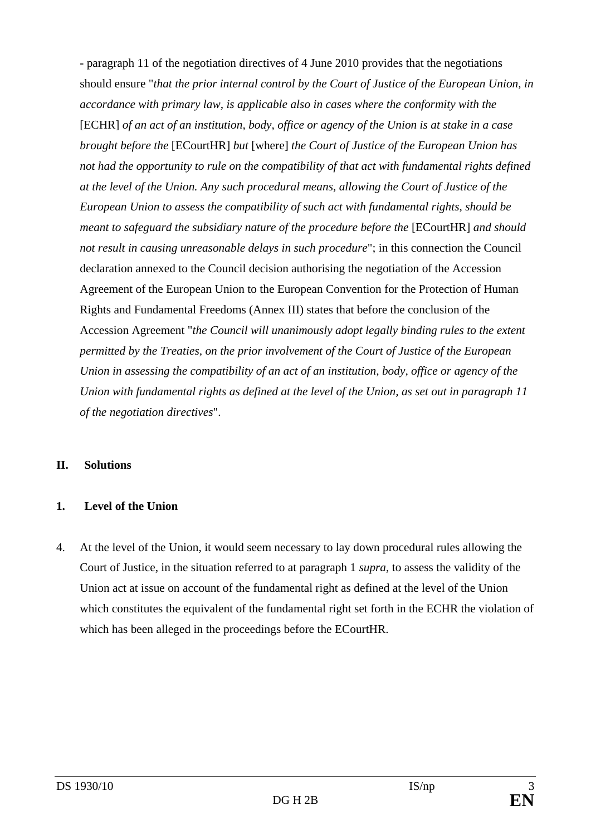- paragraph 11 of the negotiation directives of 4 June 2010 provides that the negotiations should ensure "*that the prior internal control by the Court of Justice of the European Union, in accordance with primary law, is applicable also in cases where the conformity with the*  [ECHR] *of an act of an institution, body, office or agency of the Union is at stake in a case brought before the* [ECourtHR] *but* [where] *the Court of Justice of the European Union has not had the opportunity to rule on the compatibility of that act with fundamental rights defined at the level of the Union. Any such procedural means, allowing the Court of Justice of the European Union to assess the compatibility of such act with fundamental rights, should be meant to safeguard the subsidiary nature of the procedure before the* [ECourtHR] *and should not result in causing unreasonable delays in such procedure*"; in this connection the Council declaration annexed to the Council decision authorising the negotiation of the Accession Agreement of the European Union to the European Convention for the Protection of Human Rights and Fundamental Freedoms (Annex III) states that before the conclusion of the Accession Agreement "*the Council will unanimously adopt legally binding rules to the extent permitted by the Treaties, on the prior involvement of the Court of Justice of the European Union in assessing the compatibility of an act of an institution, body, office or agency of the Union with fundamental rights as defined at the level of the Union, as set out in paragraph 11 of the negotiation directives*".

#### **II. Solutions**

#### **1. Level of the Union**

4. At the level of the Union, it would seem necessary to lay down procedural rules allowing the Court of Justice, in the situation referred to at paragraph 1 *supra*, to assess the validity of the Union act at issue on account of the fundamental right as defined at the level of the Union which constitutes the equivalent of the fundamental right set forth in the ECHR the violation of which has been alleged in the proceedings before the ECourtHR.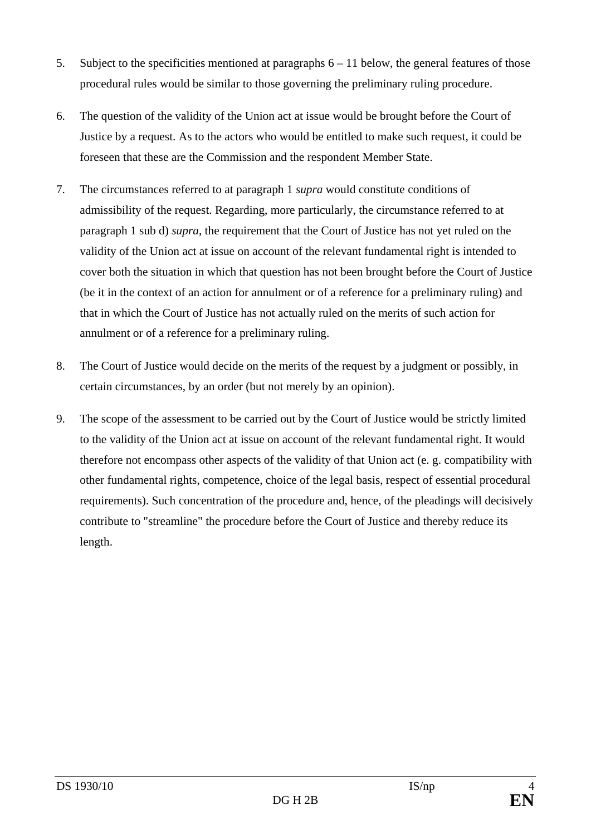- 5. Subject to the specificities mentioned at paragraphs 6 11 below, the general features of those procedural rules would be similar to those governing the preliminary ruling procedure.
- 6. The question of the validity of the Union act at issue would be brought before the Court of Justice by a request. As to the actors who would be entitled to make such request, it could be foreseen that these are the Commission and the respondent Member State.
- 7. The circumstances referred to at paragraph 1 *supra* would constitute conditions of admissibility of the request. Regarding, more particularly, the circumstance referred to at paragraph 1 sub d) *supra*, the requirement that the Court of Justice has not yet ruled on the validity of the Union act at issue on account of the relevant fundamental right is intended to cover both the situation in which that question has not been brought before the Court of Justice (be it in the context of an action for annulment or of a reference for a preliminary ruling) and that in which the Court of Justice has not actually ruled on the merits of such action for annulment or of a reference for a preliminary ruling.
- 8. The Court of Justice would decide on the merits of the request by a judgment or possibly, in certain circumstances, by an order (but not merely by an opinion).
- 9. The scope of the assessment to be carried out by the Court of Justice would be strictly limited to the validity of the Union act at issue on account of the relevant fundamental right. It would therefore not encompass other aspects of the validity of that Union act (e. g. compatibility with other fundamental rights, competence, choice of the legal basis, respect of essential procedural requirements). Such concentration of the procedure and, hence, of the pleadings will decisively contribute to "streamline" the procedure before the Court of Justice and thereby reduce its length.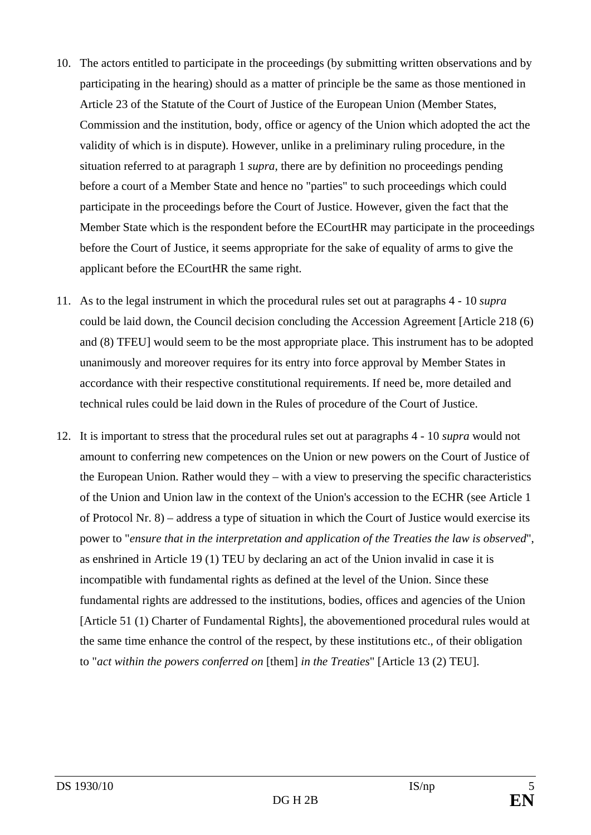- 10. The actors entitled to participate in the proceedings (by submitting written observations and by participating in the hearing) should as a matter of principle be the same as those mentioned in Article 23 of the Statute of the Court of Justice of the European Union (Member States, Commission and the institution, body, office or agency of the Union which adopted the act the validity of which is in dispute). However, unlike in a preliminary ruling procedure, in the situation referred to at paragraph 1 *supra*, there are by definition no proceedings pending before a court of a Member State and hence no "parties" to such proceedings which could participate in the proceedings before the Court of Justice. However, given the fact that the Member State which is the respondent before the ECourtHR may participate in the proceedings before the Court of Justice, it seems appropriate for the sake of equality of arms to give the applicant before the ECourtHR the same right.
- 11. As to the legal instrument in which the procedural rules set out at paragraphs 4 10 *supra* could be laid down, the Council decision concluding the Accession Agreement [Article 218 (6) and (8) TFEU] would seem to be the most appropriate place. This instrument has to be adopted unanimously and moreover requires for its entry into force approval by Member States in accordance with their respective constitutional requirements. If need be, more detailed and technical rules could be laid down in the Rules of procedure of the Court of Justice.
- 12. It is important to stress that the procedural rules set out at paragraphs 4 10 *supra* would not amount to conferring new competences on the Union or new powers on the Court of Justice of the European Union. Rather would they – with a view to preserving the specific characteristics of the Union and Union law in the context of the Union's accession to the ECHR (see Article 1 of Protocol Nr. 8) – address a type of situation in which the Court of Justice would exercise its power to "*ensure that in the interpretation and application of the Treaties the law is observed*", as enshrined in Article 19 (1) TEU by declaring an act of the Union invalid in case it is incompatible with fundamental rights as defined at the level of the Union. Since these fundamental rights are addressed to the institutions, bodies, offices and agencies of the Union [Article 51 (1) Charter of Fundamental Rights], the abovementioned procedural rules would at the same time enhance the control of the respect, by these institutions etc., of their obligation to "*act within the powers conferred on* [them] *in the Treaties*" [Article 13 (2) TEU].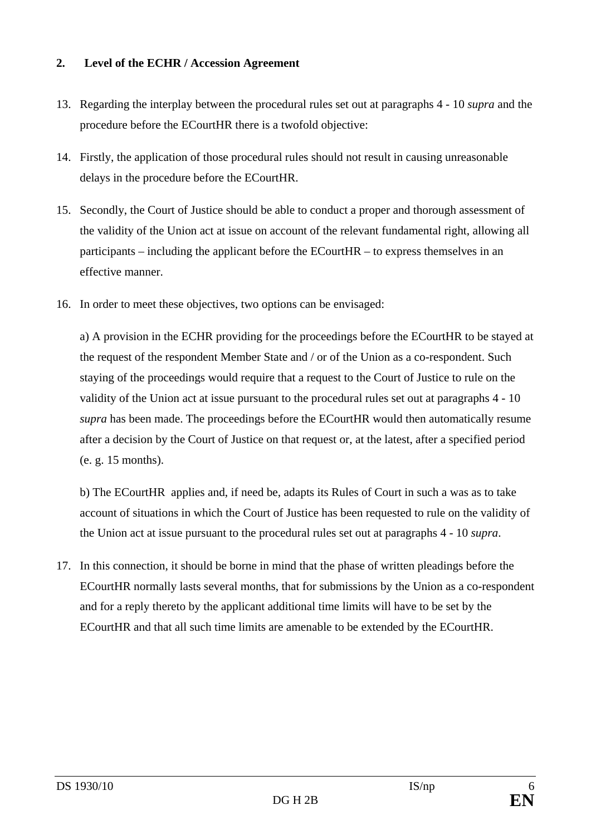### **2. Level of the ECHR / Accession Agreement**

- 13. Regarding the interplay between the procedural rules set out at paragraphs 4 10 *supra* and the procedure before the ECourtHR there is a twofold objective:
- 14. Firstly, the application of those procedural rules should not result in causing unreasonable delays in the procedure before the ECourtHR.
- 15. Secondly, the Court of Justice should be able to conduct a proper and thorough assessment of the validity of the Union act at issue on account of the relevant fundamental right, allowing all participants – including the applicant before the ECourtHR – to express themselves in an effective manner.
- 16. In order to meet these objectives, two options can be envisaged:

 a) A provision in the ECHR providing for the proceedings before the ECourtHR to be stayed at the request of the respondent Member State and / or of the Union as a co-respondent. Such staying of the proceedings would require that a request to the Court of Justice to rule on the validity of the Union act at issue pursuant to the procedural rules set out at paragraphs 4 - 10 *supra* has been made. The proceedings before the ECourtHR would then automatically resume after a decision by the Court of Justice on that request or, at the latest, after a specified period (e. g. 15 months).

 b) The ECourtHR applies and, if need be, adapts its Rules of Court in such a was as to take account of situations in which the Court of Justice has been requested to rule on the validity of the Union act at issue pursuant to the procedural rules set out at paragraphs 4 - 10 *supra*.

17. In this connection, it should be borne in mind that the phase of written pleadings before the ECourtHR normally lasts several months, that for submissions by the Union as a co-respondent and for a reply thereto by the applicant additional time limits will have to be set by the ECourtHR and that all such time limits are amenable to be extended by the ECourtHR.